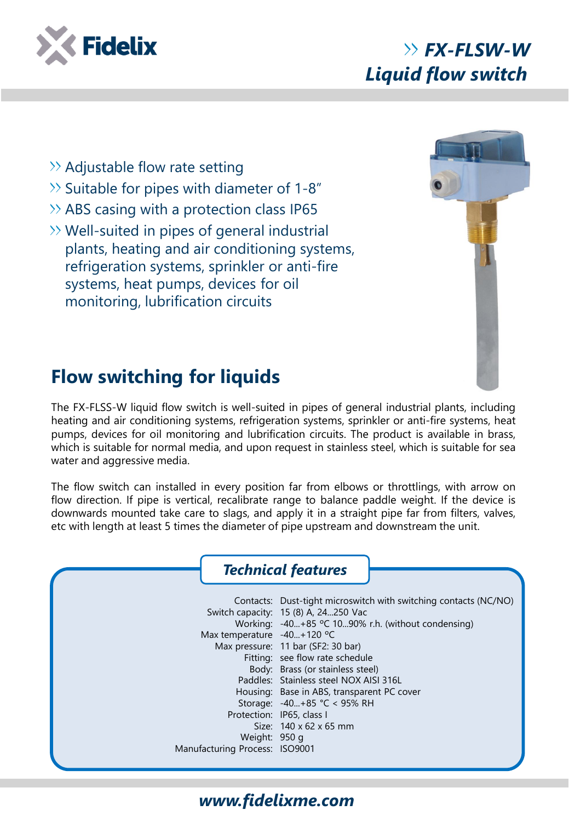

- $\gg$  Adjustable flow rate setting
- $\gg$  Suitable for pipes with diameter of 1-8"
- $\rightarrow$  ABS casing with a protection class IP65
- $\gg$  Well-suited in pipes of general industrial plants, heating and air conditioning systems, refrigeration systems, sprinkler or anti-fire systems, heat pumps, devices for oil monitoring, lubrification circuits



## **Flow switching for liquids**

The FX-FLSS-W liquid flow switch is well-suited in pipes of general industrial plants, including heating and air conditioning systems, refrigeration systems, sprinkler or anti-fire systems, heat pumps, devices for oil monitoring and lubrification circuits. The product is available in brass, which is suitable for normal media, and upon request in stainless steel, which is suitable for sea water and aggressive media.

The flow switch can installed in every position far from elbows or throttlings, with arrow on flow direction. If pipe is vertical, recalibrate range to balance paddle weight. If the device is downwards mounted take care to slags, and apply it in a straight pipe far from filters, valves, etc with length at least 5 times the diameter of pipe upstream and downstream the unit.



## *www.fidelixme.com*